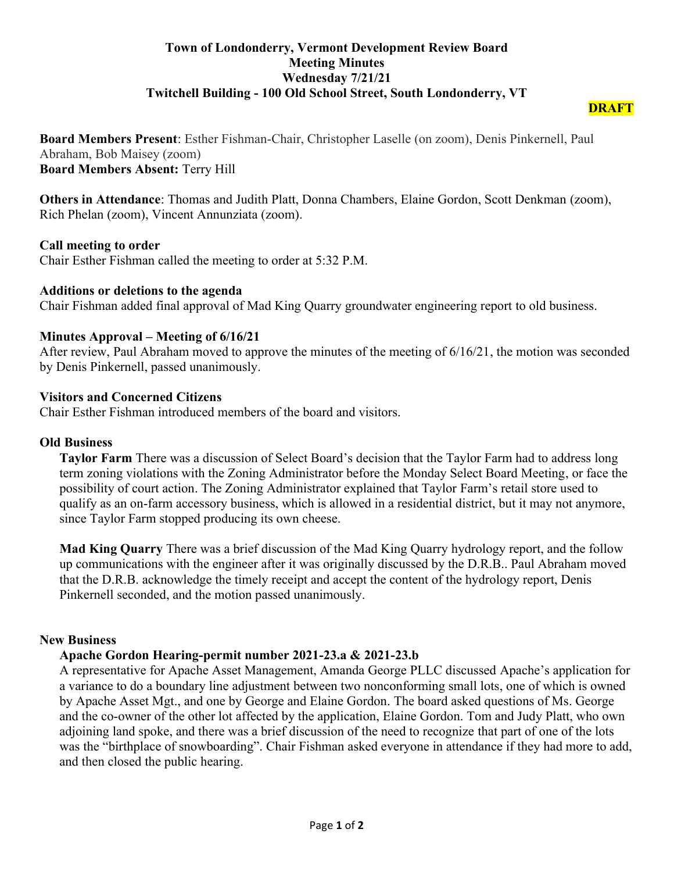# **Town of Londonderry, Vermont Development Review Board Meeting Minutes Wednesday 7/21/21 Twitchell Building - 100 Old School Street, South Londonderry, VT**

**Board Members Present**: Esther Fishman-Chair, Christopher Laselle (on zoom), Denis Pinkernell, Paul Abraham, Bob Maisey (zoom) **Board Members Absent:** Terry Hill

**Others in Attendance**: Thomas and Judith Platt, Donna Chambers, Elaine Gordon, Scott Denkman (zoom), Rich Phelan (zoom), Vincent Annunziata (zoom).

# **Call meeting to order**

Chair Esther Fishman called the meeting to order at 5:32 P.M.

# **Additions or deletions to the agenda**

Chair Fishman added final approval of Mad King Quarry groundwater engineering report to old business.

# **Minutes Approval – Meeting of 6/16/21**

After review, Paul Abraham moved to approve the minutes of the meeting of 6/16/21, the motion was seconded by Denis Pinkernell, passed unanimously.

# **Visitors and Concerned Citizens**

Chair Esther Fishman introduced members of the board and visitors.

#### **Old Business**

**Taylor Farm** There was a discussion of Select Board's decision that the Taylor Farm had to address long term zoning violations with the Zoning Administrator before the Monday Select Board Meeting, or face the possibility of court action. The Zoning Administrator explained that Taylor Farm's retail store used to qualify as an on-farm accessory business, which is allowed in a residential district, but it may not anymore, since Taylor Farm stopped producing its own cheese.

**Mad King Quarry** There was a brief discussion of the Mad King Quarry hydrology report, and the follow up communications with the engineer after it was originally discussed by the D.R.B.. Paul Abraham moved that the D.R.B. acknowledge the timely receipt and accept the content of the hydrology report, Denis Pinkernell seconded, and the motion passed unanimously.

#### **New Business**

# **Apache Gordon Hearing-permit number 2021-23.a & 2021-23.b**

A representative for Apache Asset Management, Amanda George PLLC discussed Apache's application for a variance to do a boundary line adjustment between two nonconforming small lots, one of which is owned by Apache Asset Mgt., and one by George and Elaine Gordon. The board asked questions of Ms. George and the co-owner of the other lot affected by the application, Elaine Gordon. Tom and Judy Platt, who own adjoining land spoke, and there was a brief discussion of the need to recognize that part of one of the lots was the "birthplace of snowboarding". Chair Fishman asked everyone in attendance if they had more to add, and then closed the public hearing.